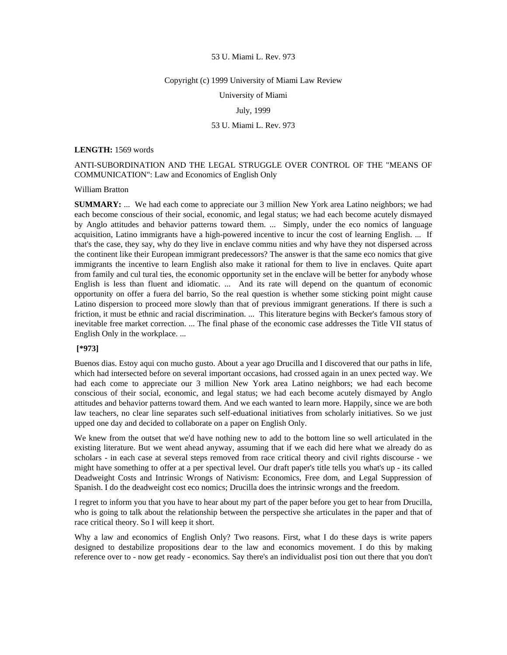### 53 U. Miami L. Rev. 973

#### Copyright (c) 1999 University of Miami Law Review

University of Miami

# July, 1999

# 53 U. Miami L. Rev. 973

#### **LENGTH:** 1569 words

# ANTI-SUBORDINATION AND THE LEGAL STRUGGLE OVER CONTROL OF THE "MEANS OF COMMUNICATION": Law and Economics of English Only

## William Bratton

**SUMMARY:** ... We had each come to appreciate our 3 million New York area Latino neighbors; we had each become conscious of their social, economic, and legal status; we had each become acutely dismayed by Anglo attitudes and behavior patterns toward them. ... Simply, under the eco nomics of language acquisition, Latino immigrants have a high-powered incentive to incur the cost of learning English. ... If that's the case, they say, why do they live in enclave commu nities and why have they not dispersed across the continent like their European immigrant predecessors? The answer is that the same eco nomics that give immigrants the incentive to learn English also make it rational for them to live in enclaves. Quite apart from family and cul tural ties, the economic opportunity set in the enclave will be better for anybody whose English is less than fluent and idiomatic. ... And its rate will depend on the quantum of economic opportunity on offer a fuera del barrio, So the real question is whether some sticking point might cause Latino dispersion to proceed more slowly than that of previous immigrant generations. If there is such a friction, it must be ethnic and racial discrimination. ... This literature begins with Becker's famous story of inevitable free market correction. ... The final phase of the economic case addresses the Title VII status of English Only in the workplace. ...

### **[\*973]**

Buenos dias. Estoy aqui con mucho gusto. About a year ago Drucilla and I discovered that our paths in life, which had intersected before on several important occasions, had crossed again in an unex pected way. We had each come to appreciate our 3 million New York area Latino neighbors; we had each become conscious of their social, economic, and legal status; we had each become acutely dismayed by Anglo attitudes and behavior patterns toward them. And we each wanted to learn more. Happily, since we are both law teachers, no clear line separates such self-eduational initiatives from scholarly initiatives. So we just upped one day and decided to collaborate on a paper on English Only.

We knew from the outset that we'd have nothing new to add to the bottom line so well articulated in the existing literature. But we went ahead anyway, assuming that if we each did here what we already do as scholars - in each case at several steps removed from race critical theory and civil rights discourse - we might have something to offer at a per spectival level. Our draft paper's title tells you what's up - its called Deadweight Costs and Intrinsic Wrongs of Nativism: Economics, Free dom, and Legal Suppression of Spanish. I do the deadweight cost eco nomics; Drucilla does the intrinsic wrongs and the freedom.

I regret to inform you that you have to hear about my part of the paper before you get to hear from Drucilla, who is going to talk about the relationship between the perspective she articulates in the paper and that of race critical theory. So I will keep it short.

Why a law and economics of English Only? Two reasons. First, what I do these days is write papers designed to destabilize propositions dear to the law and economics movement. I do this by making reference over to - now get ready - economics. Say there's an individualist posi tion out there that you don't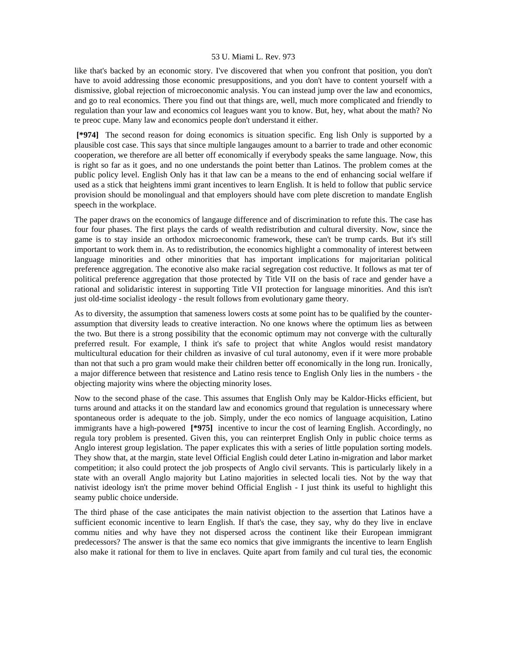### 53 U. Miami L. Rev. 973

like that's backed by an economic story. I've discovered that when you confront that position, you don't have to avoid addressing those economic presuppositions, and you don't have to content yourself with a dismissive, global rejection of microeconomic analysis. You can instead jump over the law and economics, and go to real economics. There you find out that things are, well, much more complicated and friendly to regulation than your law and economics col leagues want you to know. But, hey, what about the math? No te preoc cupe. Many law and economics people don't understand it either.

 **[\*974]** The second reason for doing economics is situation specific. Eng lish Only is supported by a plausible cost case. This says that since multiple langauges amount to a barrier to trade and other economic cooperation, we therefore are all better off economically if everybody speaks the same language. Now, this is right so far as it goes, and no one understands the point better than Latinos. The problem comes at the public policy level. English Only has it that law can be a means to the end of enhancing social welfare if used as a stick that heightens immi grant incentives to learn English. It is held to follow that public service provision should be monolingual and that employers should have com plete discretion to mandate English speech in the workplace.

The paper draws on the economics of langauge difference and of discrimination to refute this. The case has four four phases. The first plays the cards of wealth redistribution and cultural diversity. Now, since the game is to stay inside an orthodox microeconomic framework, these can't be trump cards. But it's still important to work them in. As to redistribution, the economics highlight a commonality of interest between language minorities and other minorities that has important implications for majoritarian political preference aggregation. The econotive also make racial segregation cost reductive. It follows as mat ter of political preference aggregation that those protected by Title VII on the basis of race and gender have a rational and solidaristic interest in supporting Title VII protection for language minorities. And this isn't just old-time socialist ideology - the result follows from evolutionary game theory.

As to diversity, the assumption that sameness lowers costs at some point has to be qualified by the counterassumption that diversity leads to creative interaction. No one knows where the optimum lies as between the two. But there is a strong possibility that the economic optimum may not converge with the culturally preferred result. For example, I think it's safe to project that white Anglos would resist mandatory multicultural education for their children as invasive of cul tural autonomy, even if it were more probable than not that such a pro gram would make their children better off economically in the long run. Ironically, a major difference between that resistence and Latino resis tence to English Only lies in the numbers - the objecting majority wins where the objecting minority loses.

Now to the second phase of the case. This assumes that English Only may be Kaldor-Hicks efficient, but turns around and attacks it on the standard law and economics ground that regulation is unnecessary where spontaneous order is adequate to the job. Simply, under the eco nomics of language acquisition, Latino immigrants have a high-powered **[\*975]** incentive to incur the cost of learning English. Accordingly, no regula tory problem is presented. Given this, you can reinterpret English Only in public choice terms as Anglo interest group legislation. The paper explicates this with a series of little population sorting models. They show that, at the margin, state level Official English could deter Latino in-migration and labor market competition; it also could protect the job prospects of Anglo civil servants. This is particularly likely in a state with an overall Anglo majority but Latino majorities in selected locali ties. Not by the way that nativist ideology isn't the prime mover behind Official English - I just think its useful to highlight this seamy public choice underside.

The third phase of the case anticipates the main nativist objection to the assertion that Latinos have a sufficient economic incentive to learn English. If that's the case, they say, why do they live in enclave commu nities and why have they not dispersed across the continent like their European immigrant predecessors? The answer is that the same eco nomics that give immigrants the incentive to learn English also make it rational for them to live in enclaves. Quite apart from family and cul tural ties, the economic